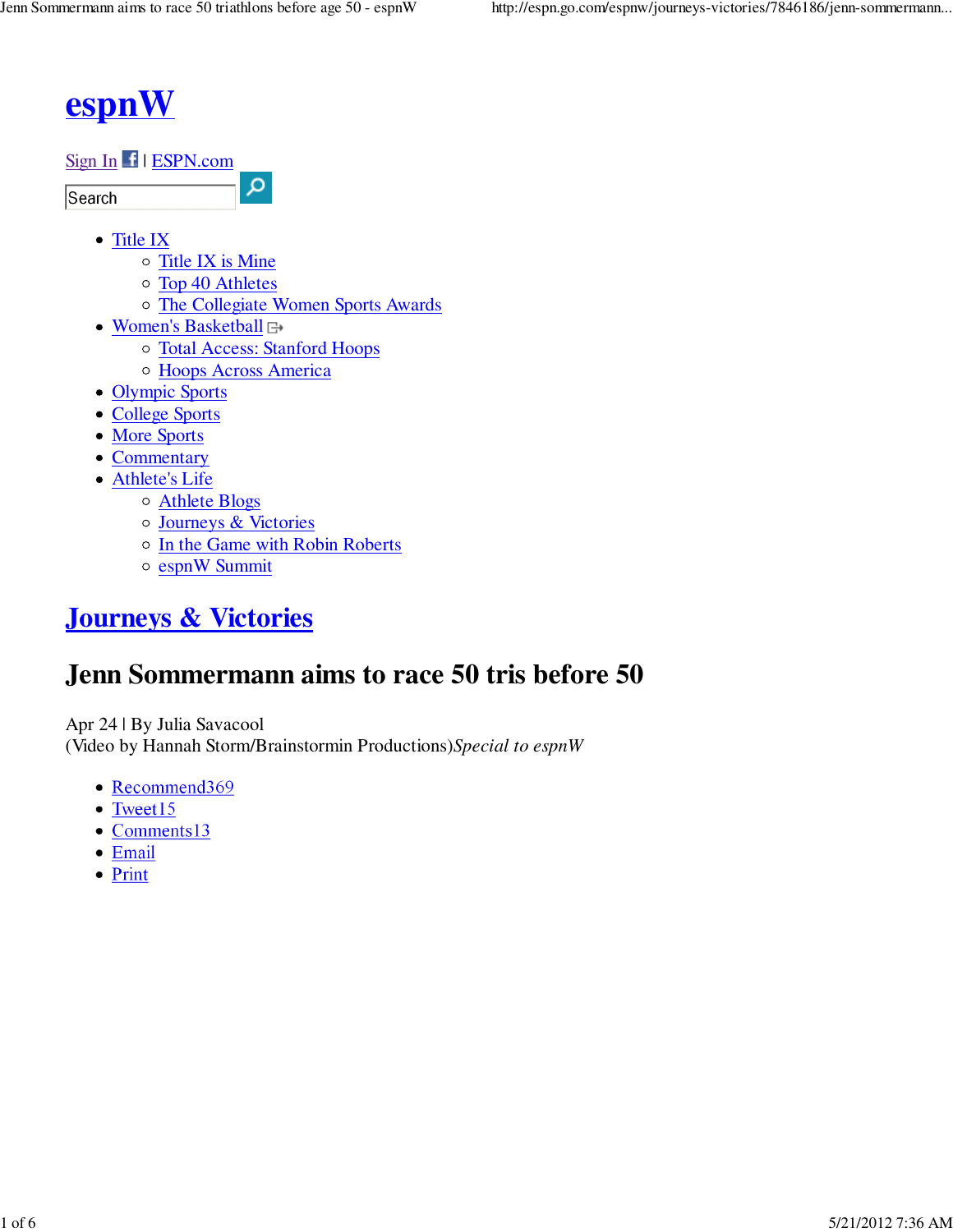# **espnW**

### Sign In | ESPN.com

Search

- Title IX
	- $\circ$  Title IX is Mine
	- Top 40 Athletes
	- o The Collegiate Women Sports Awards
- Women's Basketball  $\boxminus$ 
	- Total Access: Stanford Hoops

 $\alpha$ 

- Hoops Across America
- Olympic Sports
- College Sports
- More Sports
- Commentary
- Athlete's Life
	- Athlete Blogs
	- Journeys & Victories
	- o In the Game with Robin Roberts
	- o espnW Summit

## **Journeys & Victories**

## **Jenn Sommermann aims to race 50 tris before 50**

Apr 24 | By Julia Savacool (Video by Hannah Storm/Brainstormin Productions)*Special to espnW*

- Recommend369
- $\bullet$  Tweet15
- Comments13
- Email
- Print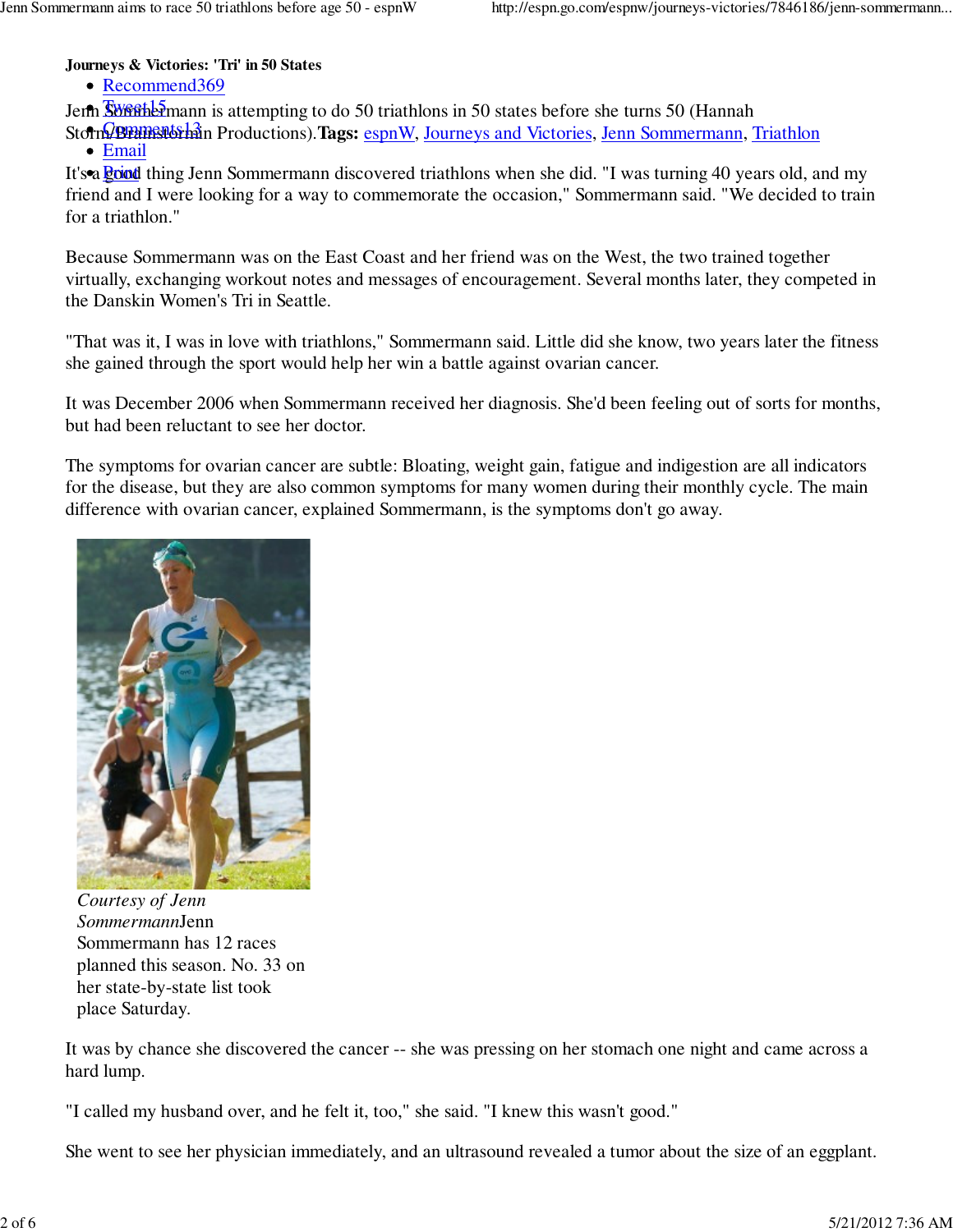**Journeys & Victories: 'Tri' in 50 States**

• Recommend369

Jenn Swerthe Emann is attempting to do 50 triathlons in 50 states before she turns 50 (Hannah

Storm/Bramstorhan Productions). Tags: espnW, Journeys and Victories, Jenn Sommermann, Triathlon • Email

It's a **good** thing Jenn Sommermann discovered triathlons when she did. "I was turning 40 years old, and my friend and I were looking for a way to commemorate the occasion," Sommermann said. "We decided to train for a triathlon."

Because Sommermann was on the East Coast and her friend was on the West, the two trained together virtually, exchanging workout notes and messages of encouragement. Several months later, they competed in the Danskin Women's Tri in Seattle.

"That was it, I was in love with triathlons," Sommermann said. Little did she know, two years later the fitness she gained through the sport would help her win a battle against ovarian cancer.

It was December 2006 when Sommermann received her diagnosis. She'd been feeling out of sorts for months, but had been reluctant to see her doctor.

The symptoms for ovarian cancer are subtle: Bloating, weight gain, fatigue and indigestion are all indicators for the disease, but they are also common symptoms for many women during their monthly cycle. The main difference with ovarian cancer, explained Sommermann, is the symptoms don't go away.



*Courtesy of Jenn Sommermann*Jenn Sommermann has 12 races planned this season. No. 33 on her state-by-state list took place Saturday.

It was by chance she discovered the cancer -- she was pressing on her stomach one night and came across a hard lump.

"I called my husband over, and he felt it, too," she said. "I knew this wasn't good."

She went to see her physician immediately, and an ultrasound revealed a tumor about the size of an eggplant.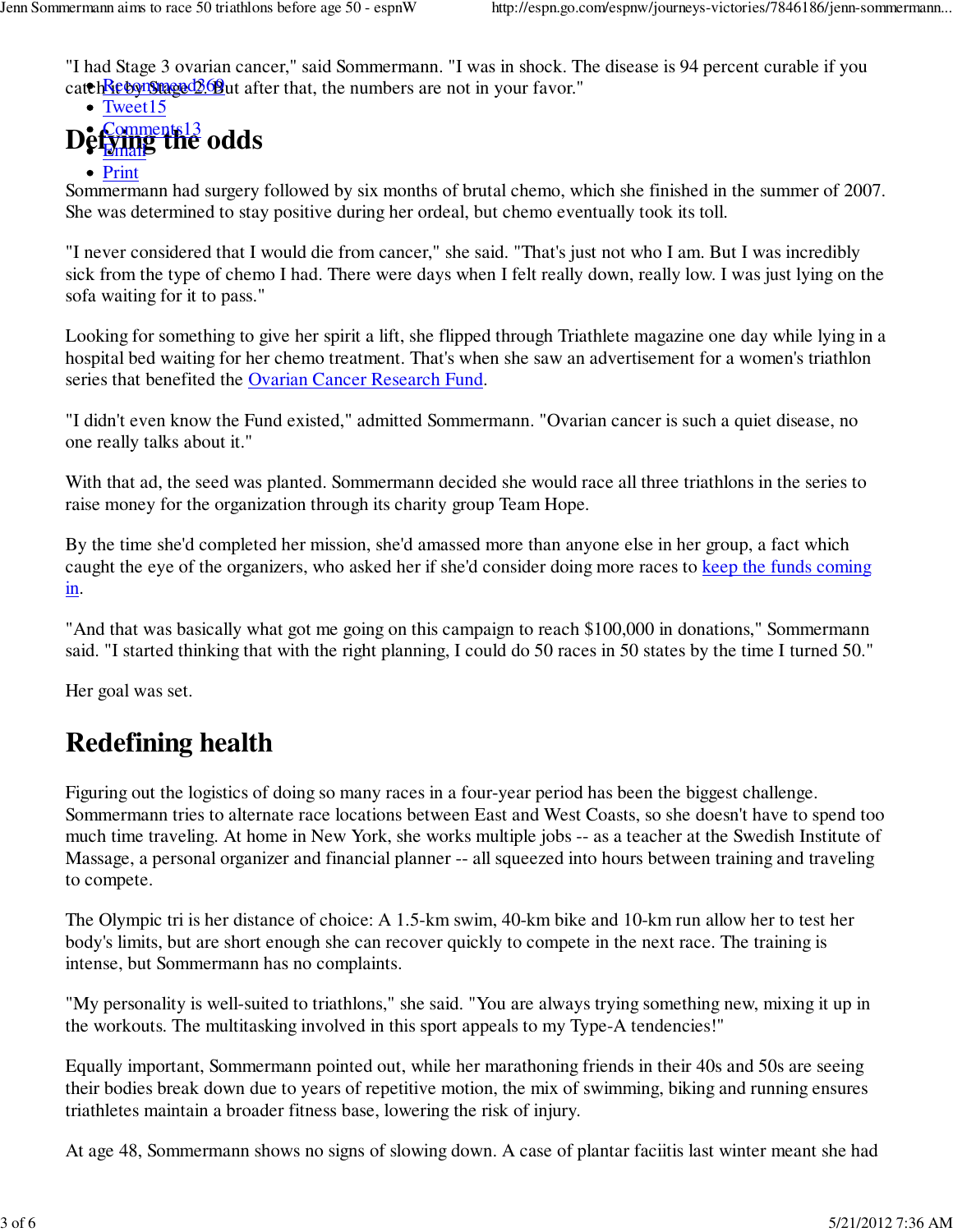"I had Stage 3 ovarian cancer," said Sommermann. "I was in shock. The disease is 94 percent curable if you catch Reconsmaged 2.68 ut after that, the numbers are not in your favor."

#### Defying the odds • Tweet15 Email • Print

Sommermann had surgery followed by six months of brutal chemo, which she finished in the summer of 2007. She was determined to stay positive during her ordeal, but chemo eventually took its toll.

"I never considered that I would die from cancer," she said. "That's just not who I am. But I was incredibly sick from the type of chemo I had. There were days when I felt really down, really low. I was just lying on the sofa waiting for it to pass."

Looking for something to give her spirit a lift, she flipped through Triathlete magazine one day while lying in a hospital bed waiting for her chemo treatment. That's when she saw an advertisement for a women's triathlon series that benefited the Ovarian Cancer Research Fund.

"I didn't even know the Fund existed," admitted Sommermann. "Ovarian cancer is such a quiet disease, no one really talks about it."

With that ad, the seed was planted. Sommermann decided she would race all three triathlons in the series to raise money for the organization through its charity group Team Hope.

By the time she'd completed her mission, she'd amassed more than anyone else in her group, a fact which caught the eye of the organizers, who asked her if she'd consider doing more races to keep the funds coming in.

"And that was basically what got me going on this campaign to reach \$100,000 in donations," Sommermann said. "I started thinking that with the right planning, I could do 50 races in 50 states by the time I turned 50."

Her goal was set.

## **Redefining health**

Figuring out the logistics of doing so many races in a four-year period has been the biggest challenge. Sommermann tries to alternate race locations between East and West Coasts, so she doesn't have to spend too much time traveling. At home in New York, she works multiple jobs -- as a teacher at the Swedish Institute of Massage, a personal organizer and financial planner -- all squeezed into hours between training and traveling to compete.

The Olympic tri is her distance of choice: A 1.5-km swim, 40-km bike and 10-km run allow her to test her body's limits, but are short enough she can recover quickly to compete in the next race. The training is intense, but Sommermann has no complaints.

"My personality is well-suited to triathlons," she said. "You are always trying something new, mixing it up in the workouts. The multitasking involved in this sport appeals to my Type-A tendencies!"

Equally important, Sommermann pointed out, while her marathoning friends in their 40s and 50s are seeing their bodies break down due to years of repetitive motion, the mix of swimming, biking and running ensures triathletes maintain a broader fitness base, lowering the risk of injury.

At age 48, Sommermann shows no signs of slowing down. A case of plantar faciitis last winter meant she had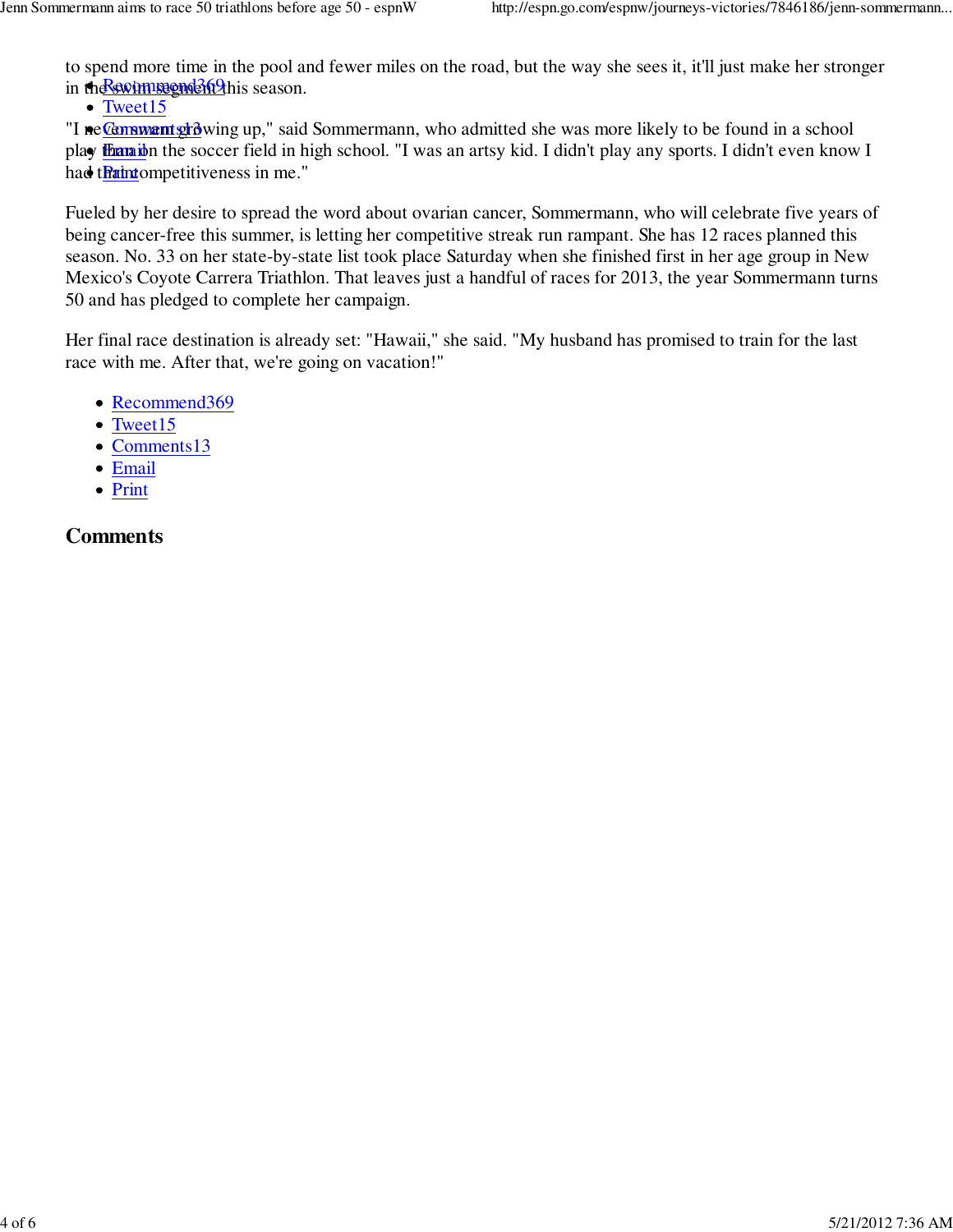to spend more time in the pool and fewer miles on the road, but the way she sees it, it'll just make her stronger in the swim regnd369 this season.

• Tweet15

"I ne Canswant growing up," said Sommermann, who admitted she was more likely to be found in a school pla**y <u>than i</u>**on the soccer field in high school. "I was an artsy kid. I didn't play any sports. I didn't even know I had t<mark>haint</mark>ompetitiveness in me."

Fueled by her desire to spread the word about ovarian cancer, Sommermann, who will celebrate five years of being cancer-free this summer, is letting her competitive streak run rampant. She has 12 races planned this season. No. 33 on her state-by-state list took place Saturday when she finished first in her age group in New Mexico's Coyote Carrera Triathlon. That leaves just a handful of races for 2013, the year Sommermann turns 50 and has pledged to complete her campaign.

Her final race destination is already set: "Hawaii," she said. "My husband has promised to train for the last race with me. After that, we're going on vacation!"

- Recommend369
- Tweet15
- Comments13
- Email
- Print

### **Comments**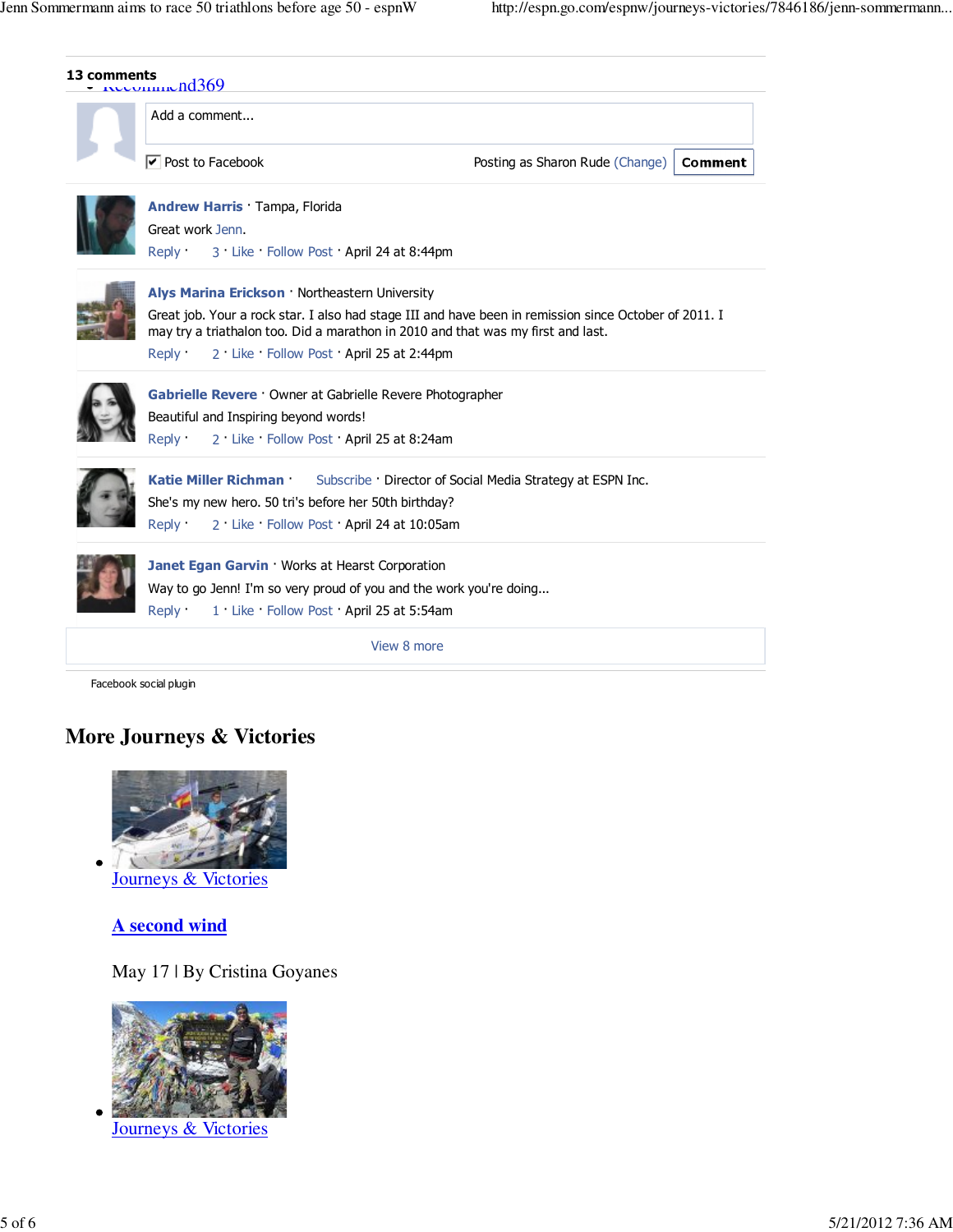| Add a comment                                                                                                                                                                                                                                                                                 |                                                          |
|-----------------------------------------------------------------------------------------------------------------------------------------------------------------------------------------------------------------------------------------------------------------------------------------------|----------------------------------------------------------|
| $\triangledown$ Post to Facebook                                                                                                                                                                                                                                                              | Comment<br>Posting as Sharon Rude (Change)               |
| <b>Andrew Harris Tampa, Florida</b><br>Great work Jenn.<br>Reply :<br>3 Like Follow Post April 24 at 8:44pm                                                                                                                                                                                   |                                                          |
| Alys Marina Erickson · Northeastern University<br>Great job. Your a rock star. I also had stage III and have been in remission since October of 2011. I<br>may try a triathalon too. Did a marathon in 2010 and that was my first and last.<br>2 Like Follow Post April 25 at 2:44pm<br>Reply |                                                          |
| Gabrielle Revere · Owner at Gabrielle Revere Photographer<br>Beautiful and Inspiring beyond words!<br>2 Like Follow Post April 25 at 8:24am<br>Reply                                                                                                                                          |                                                          |
| Katie Miller Richman ·<br>She's my new hero. 50 tri's before her 50th birthday?<br>2 Like Follow Post April 24 at 10:05am<br>Reply :                                                                                                                                                          | Subscribe Director of Social Media Strategy at ESPN Inc. |
| Janet Egan Garvin · Works at Hearst Corporation<br>Way to go Jenn! I'm so very proud of you and the work you're doing<br>Reply :<br>1 Like Follow Post April 25 at 5:54am                                                                                                                     |                                                          |
|                                                                                                                                                                                                                                                                                               |                                                          |

### **More Journeys & Victories**



**A second wind**

May 17 | By Cristina Goyanes



Journeys & Victories